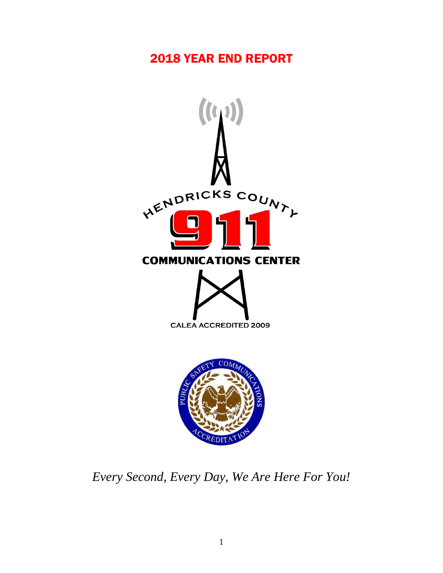# YEAR END REPORT



*Every Second, Every Day, We Are Here For You!*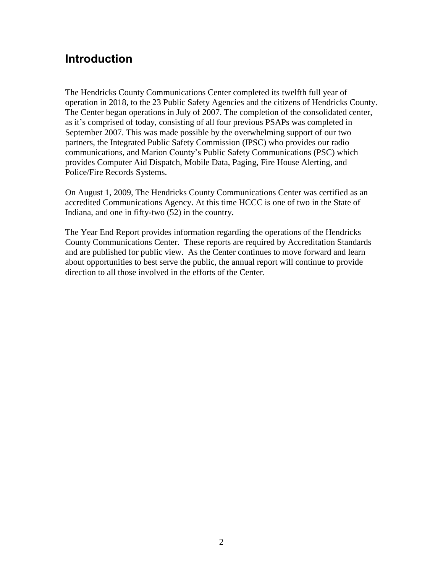# **Introduction**

The Hendricks County Communications Center completed its twelfth full year of operation in 2018, to the 23 Public Safety Agencies and the citizens of Hendricks County. The Center began operations in July of 2007. The completion of the consolidated center, as it's comprised of today, consisting of all four previous PSAPs was completed in September 2007. This was made possible by the overwhelming support of our two partners, the Integrated Public Safety Commission (IPSC) who provides our radio communications, and Marion County's Public Safety Communications (PSC) which provides Computer Aid Dispatch, Mobile Data, Paging, Fire House Alerting, and Police/Fire Records Systems.

On August 1, 2009, The Hendricks County Communications Center was certified as an accredited Communications Agency. At this time HCCC is one of two in the State of Indiana, and one in fifty-two (52) in the country.

The Year End Report provides information regarding the operations of the Hendricks County Communications Center. These reports are required by Accreditation Standards and are published for public view. As the Center continues to move forward and learn about opportunities to best serve the public, the annual report will continue to provide direction to all those involved in the efforts of the Center.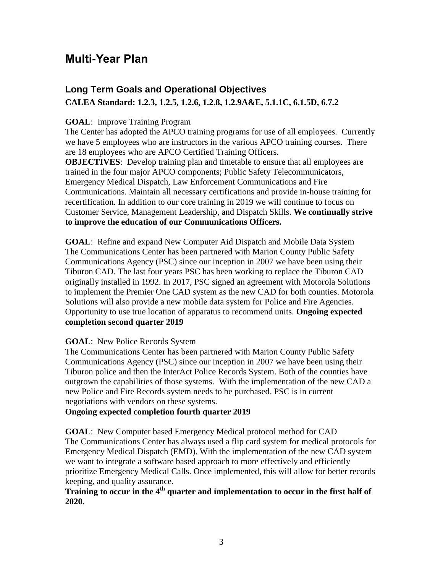# **Multi-Year Plan**

# **Long Term Goals and Operational Objectives CALEA Standard: 1.2.3, 1.2.5, 1.2.6, 1.2.8, 1.2.9A&E, 5.1.1C, 6.1.5D, 6.7.2**

#### **GOAL**: Improve Training Program

The Center has adopted the APCO training programs for use of all employees. Currently we have 5 employees who are instructors in the various APCO training courses. There are 18 employees who are APCO Certified Training Officers.

**OBJECTIVES**: Develop training plan and timetable to ensure that all employees are trained in the four major APCO components; Public Safety Telecommunicators, Emergency Medical Dispatch, Law Enforcement Communications and Fire Communications. Maintain all necessary certifications and provide in-house training for recertification. In addition to our core training in 2019 we will continue to focus on Customer Service, Management Leadership, and Dispatch Skills. **We continually strive to improve the education of our Communications Officers.**

**GOAL**: Refine and expand New Computer Aid Dispatch and Mobile Data System The Communications Center has been partnered with Marion County Public Safety Communications Agency (PSC) since our inception in 2007 we have been using their Tiburon CAD. The last four years PSC has been working to replace the Tiburon CAD originally installed in 1992. In 2017, PSC signed an agreement with Motorola Solutions to implement the Premier One CAD system as the new CAD for both counties. Motorola Solutions will also provide a new mobile data system for Police and Fire Agencies. Opportunity to use true location of apparatus to recommend units. **Ongoing expected completion second quarter 2019**

#### **GOAL**: New Police Records System

The Communications Center has been partnered with Marion County Public Safety Communications Agency (PSC) since our inception in 2007 we have been using their Tiburon police and then the InterAct Police Records System. Both of the counties have outgrown the capabilities of those systems. With the implementation of the new CAD a new Police and Fire Records system needs to be purchased. PSC is in current negotiations with vendors on these systems.

### **Ongoing expected completion fourth quarter 2019**

**GOAL**: New Computer based Emergency Medical protocol method for CAD The Communications Center has always used a flip card system for medical protocols for Emergency Medical Dispatch (EMD). With the implementation of the new CAD system we want to integrate a software based approach to more effectively and efficiently prioritize Emergency Medical Calls. Once implemented, this will allow for better records keeping, and quality assurance.

## **Training to occur in the 4th quarter and implementation to occur in the first half of 2020.**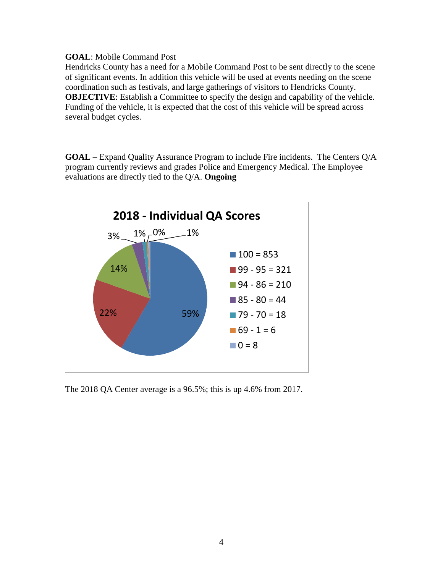#### **GOAL**: Mobile Command Post

Hendricks County has a need for a Mobile Command Post to be sent directly to the scene of significant events. In addition this vehicle will be used at events needing on the scene coordination such as festivals, and large gatherings of visitors to Hendricks County. **OBJECTIVE:** Establish a Committee to specify the design and capability of the vehicle. Funding of the vehicle, it is expected that the cost of this vehicle will be spread across several budget cycles.

**GOAL** – Expand Quality Assurance Program to include Fire incidents. The Centers Q/A program currently reviews and grades Police and Emergency Medical. The Employee evaluations are directly tied to the Q/A. **Ongoing** 



The 2018 QA Center average is a 96.5%; this is up 4.6% from 2017.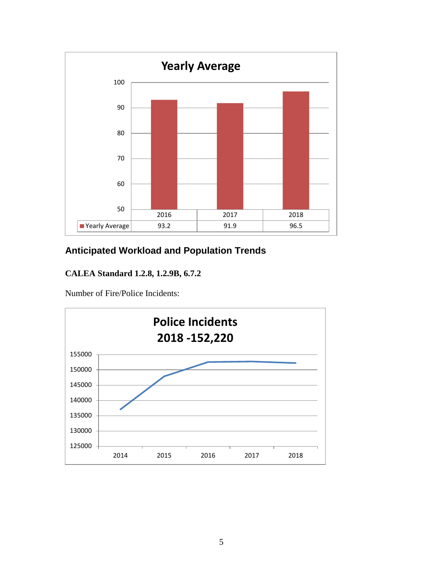

# **Anticipated Workload and Population Trends**

## **CALEA Standard 1.2.8, 1.2.9B, 6.7.2**

Number of Fire/Police Incidents:

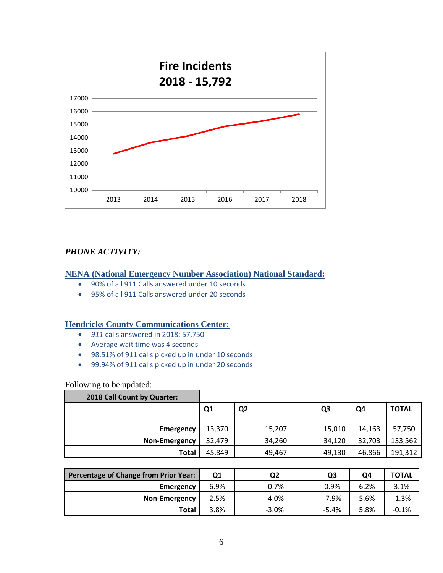

### *PHONE ACTIVITY:*

#### **NENA (National Emergency Number Association) National Standard:**

- 90% of all 911 Calls answered under 10 seconds
- 95% of all 911 Calls answered under 20 seconds

#### **Hendricks County Communications Center:**

- *911* calls answered in 2018: 57,750
- Average wait time was 4 seconds
- 98.51% of 911 calls picked up in under 10 seconds
- 99.94% of 911 calls picked up in under 20 seconds

#### Following to be updated:

| 2018 Call Count by Quarter: |                |                |                |        |              |
|-----------------------------|----------------|----------------|----------------|--------|--------------|
|                             | Q <sub>1</sub> | Q <sub>2</sub> | Q <sub>3</sub> | Q4     | <b>TOTAL</b> |
|                             |                |                |                |        |              |
| <b>Emergency</b>            | 13,370         | 15,207         | 15,010         | 14,163 | 57,750       |
| Non-Emergency               | 32,479         | 34,260         | 34,120         | 32,703 | 133,562      |
| Total                       | 45,849         | 49,467         | 49,130         | 46,866 | 191,312      |

| Percentage of Change from Prior Year: | Q1   | Q2      | Q3      | Q4   | <b>TOTAL</b> |
|---------------------------------------|------|---------|---------|------|--------------|
| <b>Emergency</b>                      | 6.9% | $-0.7%$ | 0.9%    | 6.2% | 3.1%         |
| <b>Non-Emergency</b>                  | 2.5% | $-4.0%$ | $-7.9%$ | 5.6% | $-1.3%$      |
| Total                                 | 3.8% | $-3.0%$ | $-5.4%$ | 5.8% | $-0.1%$      |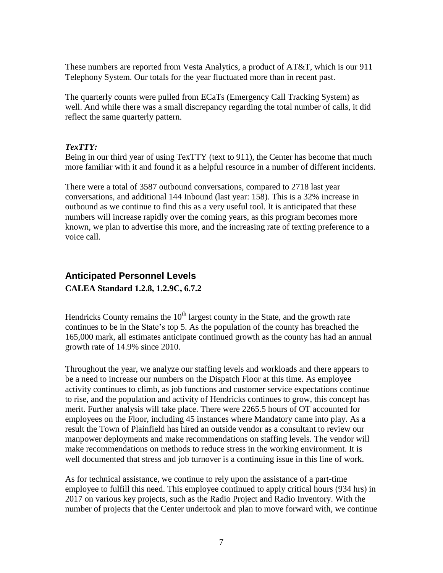These numbers are reported from Vesta Analytics, a product of AT&T, which is our 911 Telephony System. Our totals for the year fluctuated more than in recent past.

The quarterly counts were pulled from ECaTs (Emergency Call Tracking System) as well. And while there was a small discrepancy regarding the total number of calls, it did reflect the same quarterly pattern.

#### *TexTTY:*

Being in our third year of using TexTTY (text to 911), the Center has become that much more familiar with it and found it as a helpful resource in a number of different incidents.

There were a total of 3587 outbound conversations, compared to 2718 last year conversations, and additional 144 Inbound (last year: 158). This is a 32% increase in outbound as we continue to find this as a very useful tool. It is anticipated that these numbers will increase rapidly over the coming years, as this program becomes more known, we plan to advertise this more, and the increasing rate of texting preference to a voice call.

## **Anticipated Personnel Levels CALEA Standard 1.2.8, 1.2.9C, 6.7.2**

Hendricks County remains the  $10<sup>th</sup>$  largest county in the State, and the growth rate continues to be in the State's top 5. As the population of the county has breached the 165,000 mark, all estimates anticipate continued growth as the county has had an annual growth rate of 14.9% since 2010.

Throughout the year, we analyze our staffing levels and workloads and there appears to be a need to increase our numbers on the Dispatch Floor at this time. As employee activity continues to climb, as job functions and customer service expectations continue to rise, and the population and activity of Hendricks continues to grow, this concept has merit. Further analysis will take place. There were 2265.5 hours of OT accounted for employees on the Floor, including 45 instances where Mandatory came into play. As a result the Town of Plainfield has hired an outside vendor as a consultant to review our manpower deployments and make recommendations on staffing levels. The vendor will make recommendations on methods to reduce stress in the working environment. It is well documented that stress and job turnover is a continuing issue in this line of work.

As for technical assistance, we continue to rely upon the assistance of a part-time employee to fulfill this need. This employee continued to apply critical hours (934 hrs) in 2017 on various key projects, such as the Radio Project and Radio Inventory. With the number of projects that the Center undertook and plan to move forward with, we continue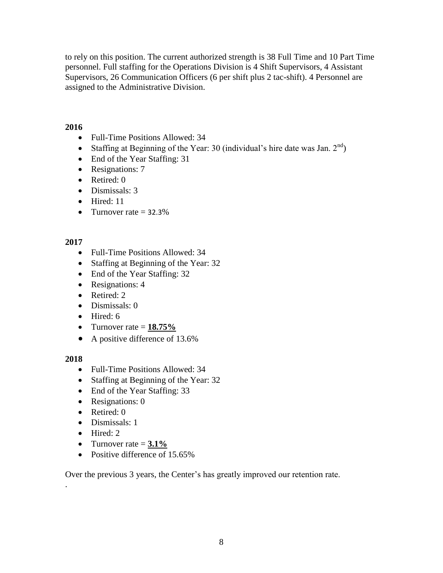to rely on this position. The current authorized strength is 38 Full Time and 10 Part Time personnel. Full staffing for the Operations Division is 4 Shift Supervisors, 4 Assistant Supervisors, 26 Communication Officers (6 per shift plus 2 tac-shift). 4 Personnel are assigned to the Administrative Division.

### **2016**

- Full-Time Positions Allowed: 34
- Staffing at Beginning of the Year: 30 (individual's hire date was Jan.  $2^{nd}$ )
- End of the Year Staffing: 31
- Resignations: 7
- Retired: 0
- Dismissals: 3
- Hired: 11
- Turnover rate  $= 32.3\%$

## **2017**

- Full-Time Positions Allowed: 34
- Staffing at Beginning of the Year: 32
- End of the Year Staffing: 32
- Resignations: 4
- Retired: 2
- Dismissals: 0
- $\bullet$  Hired: 6
- Turnover rate  $= 18.75\%$
- A positive difference of 13.6%

### **2018**

.

- Full-Time Positions Allowed: 34
- Staffing at Beginning of the Year: 32
- End of the Year Staffing: 33
- Resignations: 0
- Retired: 0
- Dismissals: 1
- Hired: 2
- Turnover rate  $= 3.1\%$
- Positive difference of 15.65%

Over the previous 3 years, the Center's has greatly improved our retention rate.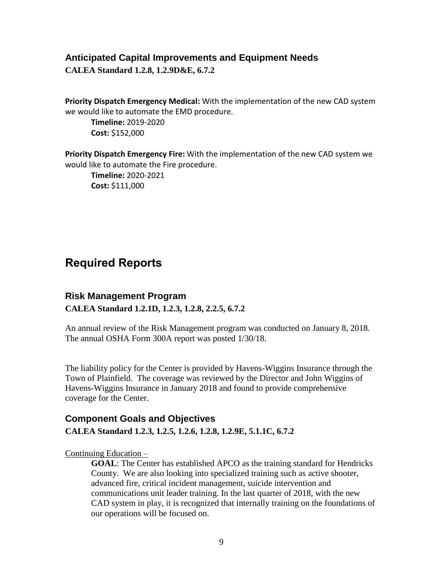### **Anticipated Capital Improvements and Equipment Needs**

**CALEA Standard 1.2.8, 1.2.9D&E, 6.7.2**

**Priority Dispatch Emergency Medical:** With the implementation of the new CAD system we would like to automate the EMD procedure.

**Timeline:** 2019-2020 **Cost:** \$152,000

**Priority Dispatch Emergency Fire:** With the implementation of the new CAD system we would like to automate the Fire procedure. **Timeline:** 2020-2021 **Cost:** \$111,000

# **Required Reports**

## **Risk Management Program CALEA Standard 1.2.1D, 1.2.3, 1.2.8, 2.2.5, 6.7.2**

An annual review of the Risk Management program was conducted on January 8, 2018. The annual OSHA Form 300A report was posted 1/30/18.

The liability policy for the Center is provided by Havens-Wiggins Insurance through the Town of Plainfield. The coverage was reviewed by the Director and John Wiggins of Havens-Wiggins Insurance in January 2018 and found to provide comprehensive coverage for the Center.

## **Component Goals and Objectives CALEA Standard 1.2.3, 1.2.5, 1.2.6, 1.2.8, 1.2.9E, 5.1.1C, 6.7.2**

Continuing Education –

**GOAL**: The Center has established APCO as the training standard for Hendricks County. We are also looking into specialized training such as active shooter, advanced fire, critical incident management, suicide intervention and communications unit leader training. In the last quarter of 2018, with the new CAD system in play, it is recognized that internally training on the foundations of our operations will be focused on.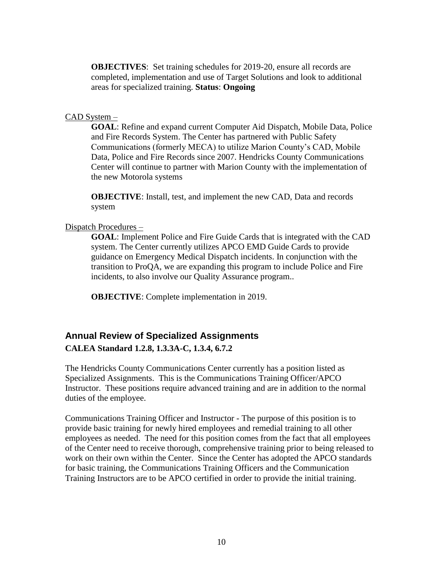**OBJECTIVES**: Set training schedules for 2019-20, ensure all records are completed, implementation and use of Target Solutions and look to additional areas for specialized training. **Status**: **Ongoing**

#### CAD System –

**GOAL**: Refine and expand current Computer Aid Dispatch, Mobile Data, Police and Fire Records System. The Center has partnered with Public Safety Communications (formerly MECA) to utilize Marion County's CAD, Mobile Data, Police and Fire Records since 2007. Hendricks County Communications Center will continue to partner with Marion County with the implementation of the new Motorola systems

**OBJECTIVE**: Install, test, and implement the new CAD, Data and records system

#### Dispatch Procedures –

**GOAL**: Implement Police and Fire Guide Cards that is integrated with the CAD system. The Center currently utilizes APCO EMD Guide Cards to provide guidance on Emergency Medical Dispatch incidents. In conjunction with the transition to ProQA, we are expanding this program to include Police and Fire incidents, to also involve our Quality Assurance program..

**OBJECTIVE**: Complete implementation in 2019.

## **Annual Review of Specialized Assignments CALEA Standard 1.2.8, 1.3.3A-C, 1.3.4, 6.7.2**

The Hendricks County Communications Center currently has a position listed as Specialized Assignments. This is the Communications Training Officer/APCO Instructor. These positions require advanced training and are in addition to the normal duties of the employee.

Communications Training Officer and Instructor - The purpose of this position is to provide basic training for newly hired employees and remedial training to all other employees as needed. The need for this position comes from the fact that all employees of the Center need to receive thorough, comprehensive training prior to being released to work on their own within the Center. Since the Center has adopted the APCO standards for basic training, the Communications Training Officers and the Communication Training Instructors are to be APCO certified in order to provide the initial training.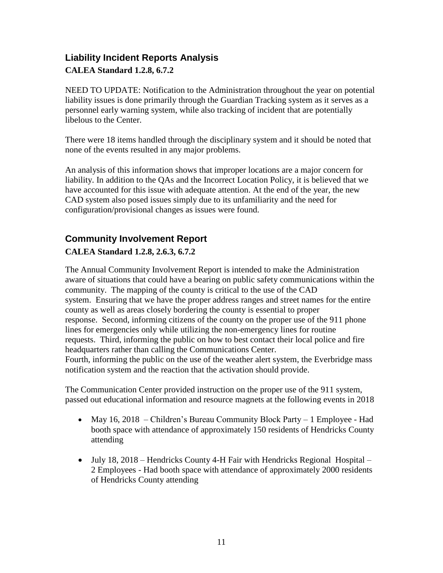# **Liability Incident Reports Analysis CALEA Standard 1.2.8, 6.7.2**

NEED TO UPDATE: Notification to the Administration throughout the year on potential liability issues is done primarily through the Guardian Tracking system as it serves as a personnel early warning system, while also tracking of incident that are potentially libelous to the Center.

There were 18 items handled through the disciplinary system and it should be noted that none of the events resulted in any major problems.

An analysis of this information shows that improper locations are a major concern for liability. In addition to the QAs and the Incorrect Location Policy, it is believed that we have accounted for this issue with adequate attention. At the end of the year, the new CAD system also posed issues simply due to its unfamiliarity and the need for configuration/provisional changes as issues were found.

# **Community Involvement Report**

## **CALEA Standard 1.2.8, 2.6.3, 6.7.2**

The Annual Community Involvement Report is intended to make the Administration aware of situations that could have a bearing on public safety communications within the community. The mapping of the county is critical to the use of the CAD system. Ensuring that we have the proper address ranges and street names for the entire county as well as areas closely bordering the county is essential to proper response. Second, informing citizens of the county on the proper use of the 911 phone lines for emergencies only while utilizing the non-emergency lines for routine requests. Third, informing the public on how to best contact their local police and fire headquarters rather than calling the Communications Center. Fourth, informing the public on the use of the weather alert system, the Everbridge mass notification system and the reaction that the activation should provide.

The Communication Center provided instruction on the proper use of the 911 system, passed out educational information and resource magnets at the following events in 2018

- May 16, 2018 Children's Bureau Community Block Party 1 Employee Had booth space with attendance of approximately 150 residents of Hendricks County attending
- July 18, 2018 Hendricks County 4-H Fair with Hendricks Regional Hospital 2 Employees - Had booth space with attendance of approximately 2000 residents of Hendricks County attending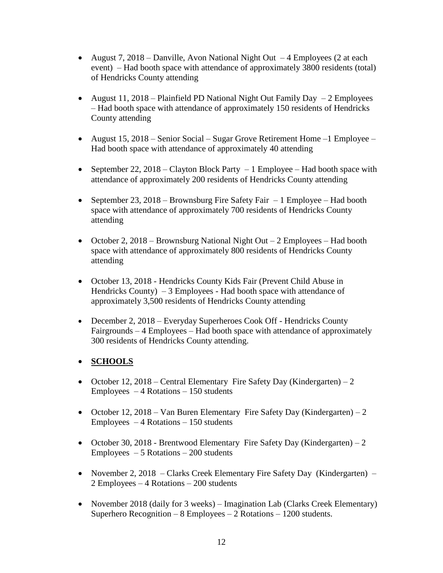- August 7, 2018 Danville, Avon National Night Out  $-4$  Employees (2 at each event) – Had booth space with attendance of approximately 3800 residents (total) of Hendricks County attending
- August 11, 2018 Plainfield PD National Night Out Family Day  $-2$  Employees – Had booth space with attendance of approximately 150 residents of Hendricks County attending
- August 15, 2018 Senior Social Sugar Grove Retirement Home –1 Employee Had booth space with attendance of approximately 40 attending
- September 22, 2018 Clayton Block Party 1 Employee Had booth space with attendance of approximately 200 residents of Hendricks County attending
- September 23, 2018 Brownsburg Fire Safety Fair 1 Employee Had booth space with attendance of approximately 700 residents of Hendricks County attending
- October 2, 2018 Brownsburg National Night Out 2 Employees Had booth space with attendance of approximately 800 residents of Hendricks County attending
- October 13, 2018 Hendricks County Kids Fair (Prevent Child Abuse in Hendricks County)  $-3$  Employees - Had booth space with attendance of approximately 3,500 residents of Hendricks County attending
- December 2, 2018 Everyday Superheroes Cook Off Hendricks County Fairgrounds – 4 Employees – Had booth space with attendance of approximately 300 residents of Hendricks County attending.

## **SCHOOLS**

- October 12, 2018 Central Elementary Fire Safety Day (Kindergarten) 2 Employees  $-4$  Rotations  $-150$  students
- October 12, 2018 Van Buren Elementary Fire Safety Day (Kindergarten) 2  $Emploves - 4 Rotations - 150 students$
- October 30, 2018 Brentwood Elementary Fire Safety Day (Kindergarten) 2  $Employes - 5$  Rotations  $-200$  students
- November 2, 2018 Clarks Creek Elementary Fire Safety Day (Kindergarten) 2 Employees – 4 Rotations – 200 students
- November 2018 (daily for 3 weeks) Imagination Lab (Clarks Creek Elementary) Superhero Recognition –  $8$  Employees –  $2$  Rotations – 1200 students.